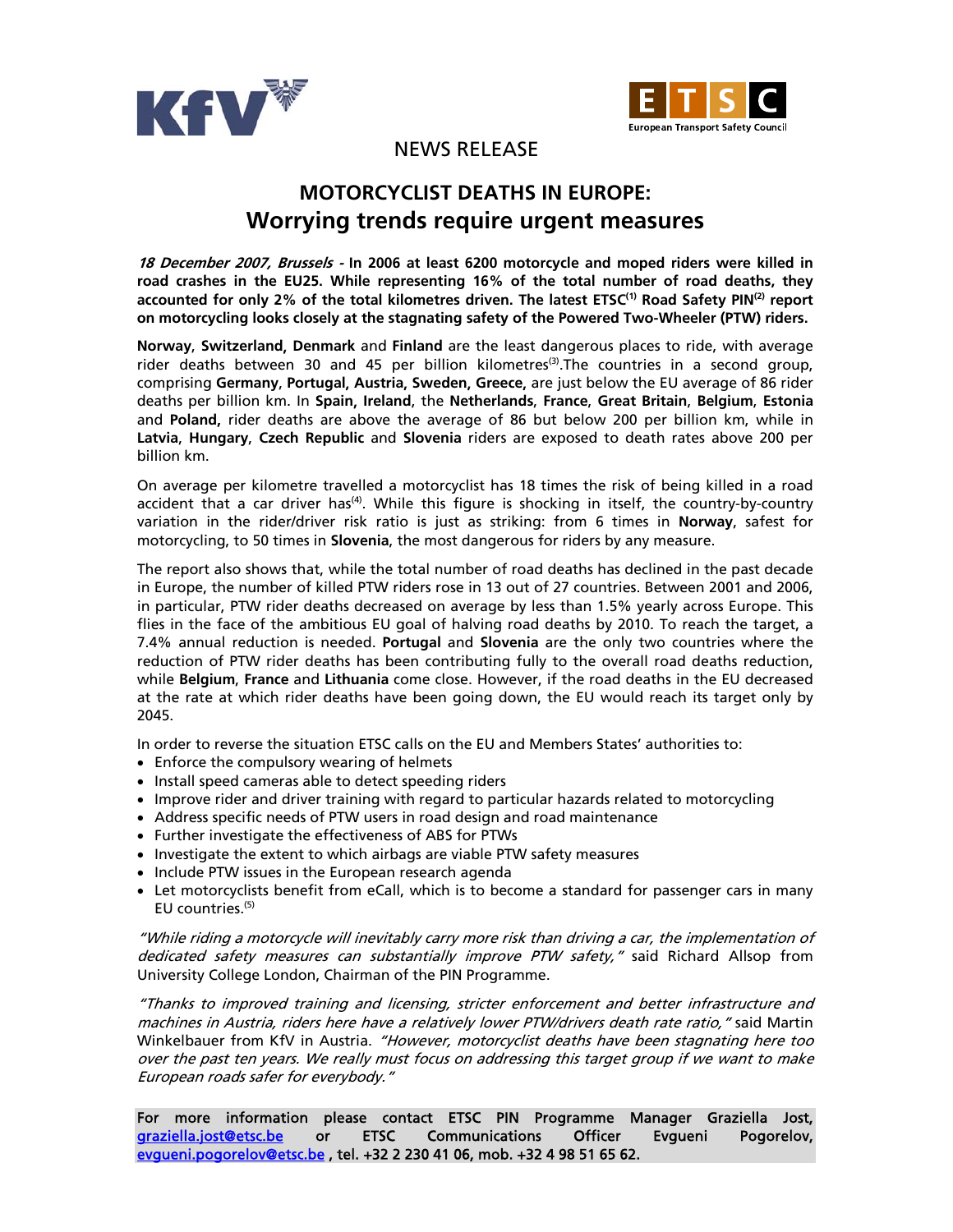



## NEWS RELEASE

## **MOTORCYCLIST DEATHS IN EUROPE: Worrying trends require urgent measures**

**18 December 2007, Brussels - In 2006 at least 6200 motorcycle and moped riders were killed in road crashes in the EU25. While representing 16% of the total number of road deaths, they**  accounted for only 2% of the total kilometres driven. The latest ETSC<sup>(1)</sup> Road Safety PIN<sup>(2)</sup> report **on motorcycling looks closely at the stagnating safety of the Powered Two-Wheeler (PTW) riders.** 

**Norway**, **Switzerland**, **Denmark** and **Finland** are the least dangerous places to ride, with average rider deaths between 30 and 45 per billion kilometres<sup>(3)</sup>. The countries in a second group, comprising **Germany**, **Portugal**, **Austria**, **Sweden**, **Greece**, are just below the EU average of 86 rider deaths per billion km. In **Spain**, **Ireland**, the **Netherlands**, **France**, **Great Britain**, **Belgium**, **Estonia** and **Poland**, rider deaths are above the average of 86 but below 200 per billion km, while in **Latvia**, **Hungary**, **Czech Republic** and **Slovenia** riders are exposed to death rates above 200 per billion km.

On average per kilometre travelled a motorcyclist has 18 times the risk of being killed in a road accident that a car driver has<sup>(4)</sup>. While this figure is shocking in itself, the country-by-country variation in the rider/driver risk ratio is just as striking: from 6 times in **Norway**, safest for motorcycling, to 50 times in **Slovenia**, the most dangerous for riders by any measure.

The report also shows that, while the total number of road deaths has declined in the past decade in Europe, the number of killed PTW riders rose in 13 out of 27 countries. Between 2001 and 2006, in particular, PTW rider deaths decreased on average by less than 1.5% yearly across Europe. This flies in the face of the ambitious EU goal of halving road deaths by 2010. To reach the target, a 7.4% annual reduction is needed. **Portugal** and **Slovenia** are the only two countries where the reduction of PTW rider deaths has been contributing fully to the overall road deaths reduction, while **Belgium**, **France** and **Lithuania** come close. However, if the road deaths in the EU decreased at the rate at which rider deaths have been going down, the EU would reach its target only by 2045.

In order to reverse the situation ETSC calls on the EU and Members States' authorities to:

- Enforce the compulsory wearing of helmets
- Install speed cameras able to detect speeding riders
- Improve rider and driver training with regard to particular hazards related to motorcycling
- Address specific needs of PTW users in road design and road maintenance
- Further investigate the effectiveness of ABS for PTWs
- Investigate the extent to which airbags are viable PTW safety measures
- Include PTW issues in the European research agenda
- Let motorcyclists benefit from eCall, which is to become a standard for passenger cars in many EU countries.(5)

"While riding a motorcycle will inevitably carry more risk than driving a car, the implementation of dedicated safety measures can substantially improve PTW safety," said Richard Allsop from University College London, Chairman of the PIN Programme.

"Thanks to improved training and licensing, stricter enforcement and better infrastructure and machines in Austria, riders here have a relatively lower PTW/drivers death rate ratio," said Martin Winkelbauer from KfV in Austria. "However, motorcyclist deaths have been stagnating here too over the past ten years. We really must focus on addressing this target group if we want to make European roads safer for everybody."

For more information please contact ETSC PIN Programme Manager Graziella Jost, graziella.jost@etsc.be or ETSC Communications Officer Evgueni Pogorelov, evgueni.pogorelov@etsc.be, tel. +32 2 230 41 06, mob. +32 4 98 51 65 62.